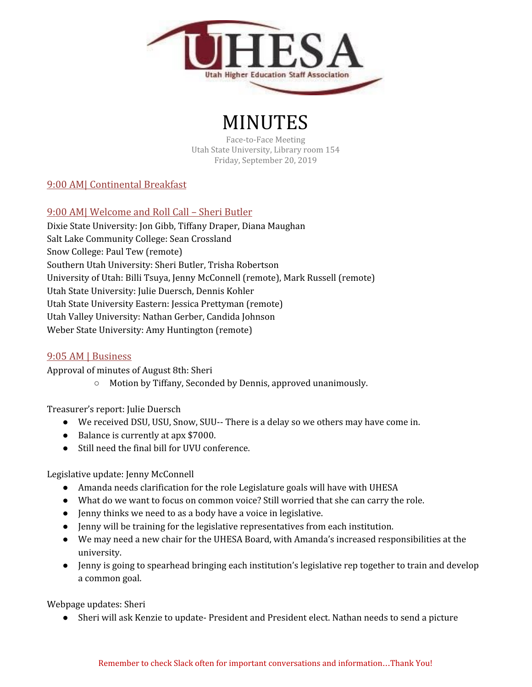

# MINUTES

Face-to-Face Meeting Utah State University, Library room 154 Friday, September 20, 2019

# 9:00 AM| Continental Breakfast

# 9:00 AM| Welcome and Roll Call – Sheri Butler

Dixie State University: Jon Gibb, Tiffany Draper, Diana Maughan Salt Lake Community College: Sean Crossland Snow College: Paul Tew (remote) Southern Utah University: Sheri Butler, Trisha Robertson University of Utah: Billi Tsuya, Jenny McConnell (remote), Mark Russell (remote) Utah State University: Julie Duersch, Dennis Kohler Utah State University Eastern: Jessica Prettyman (remote) Utah Valley University: Nathan Gerber, Candida Johnson Weber State University: Amy Huntington (remote)

# 9:05 AM | Business

Approval of minutes of August 8th: Sheri

○ Motion by Tiffany, Seconded by Dennis, approved unanimously.

Treasurer's report: Julie Duersch

- We received DSU, USU, Snow, SUU-- There is a delay so we others may have come in.
- Balance is currently at apx \$7000.
- Still need the final bill for UVU conference.

Legislative update: Jenny McConnell

- Amanda needs clarification for the role Legislature goals will have with UHESA
- What do we want to focus on common voice? Still worried that she can carry the role.
- Jenny thinks we need to as a body have a voice in legislative.
- Jenny will be training for the legislative representatives from each institution.
- We may need a new chair for the UHESA Board, with Amanda's increased responsibilities at the university.
- Jenny is going to spearhead bringing each institution's legislative rep together to train and develop a common goal.

Webpage updates: Sheri

● Sheri will ask Kenzie to update- President and President elect. Nathan needs to send a picture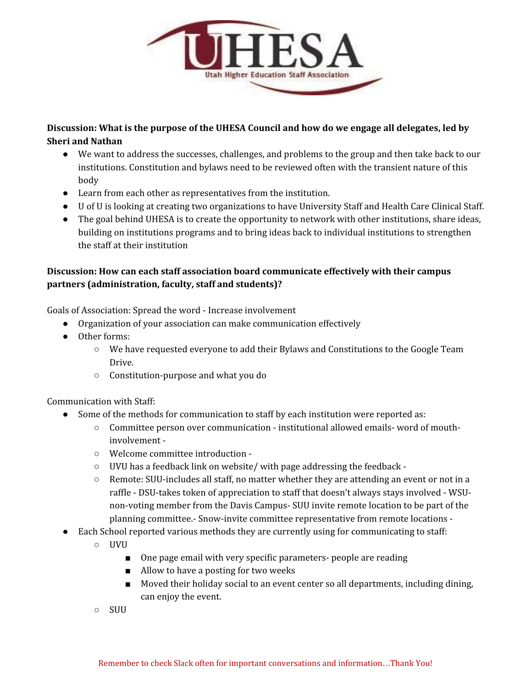

# **Discussion: What is the purpose of the UHESA Council and how do we engage all delegates, led by Sheri and Nathan**

- We want to address the successes, challenges, and problems to the group and then take back to our institutions. Constitution and bylaws need to be reviewed often with the transient nature of this body
- Learn from each other as representatives from the institution.
- U of U is looking at creating two organizations to have University Staff and Health Care Clinical Staff.
- The goal behind UHESA is to create the opportunity to network with other institutions, share ideas, building on institutions programs and to bring ideas back to individual institutions to strengthen the staff at their institution

# **Discussion: How can each staff association board communicate effectively with their campus partners (administration, faculty, staff and students)?**

Goals of Association: Spread the word - Increase involvement

- Organization of your association can make communication effectively
- Other forms:
	- We have requested everyone to add their Bylaws and Constitutions to the Google Team Drive.
	- Constitution-purpose and what you do

#### Communication with Staff:

- Some of the methods for communication to staff by each institution were reported as:
	- Committee person over communication institutional allowed emails- word of mouthinvolvement -
	- Welcome committee introduction -
	- UVU has a feedback link on website/ with page addressing the feedback -
	- $\circ$  Remote: SUU-includes all staff, no matter whether they are attending an event or not in a raffle - DSU-takes token of appreciation to staff that doesn't always stays involved - WSUnon-voting member from the Davis Campus- SUU invite remote location to be part of the planning committee.- Snow-invite committee representative from remote locations -
- Each School reported various methods they are currently using for communicating to staff:
	- UVU
		- One page email with very specific parameters- people are reading
		- Allow to have a posting for two weeks
		- Moved their holiday social to an event center so all departments, including dining, can enjoy the event.
	- SUU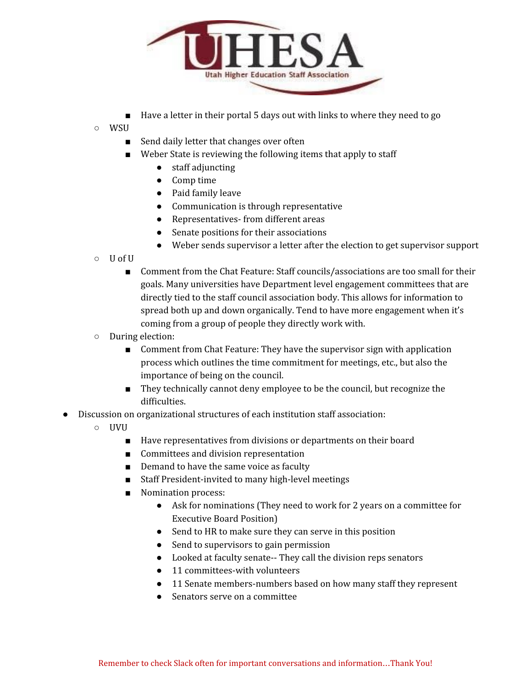

- Have a letter in their portal 5 days out with links to where they need to go
- WSU
	- Send daily letter that changes over often
	- Weber State is reviewing the following items that apply to staff
		- staff adjuncting
		- Comp time
		- Paid family leave
		- Communication is through representative
		- Representatives- from different areas
		- Senate positions for their associations
		- Weber sends supervisor a letter after the election to get supervisor support
- U of U
	- Comment from the Chat Feature: Staff councils/associations are too small for their goals. Many universities have Department level engagement committees that are directly tied to the staff council association body. This allows for information to spread both up and down organically. Tend to have more engagement when it's coming from a group of people they directly work with.
- During election:
	- Comment from Chat Feature: They have the supervisor sign with application process which outlines the time commitment for meetings, etc., but also the importance of being on the council.
	- They technically cannot deny employee to be the council, but recognize the difficulties.
- Discussion on organizational structures of each institution staff association:
	- UVU
		- Have representatives from divisions or departments on their board
		- Committees and division representation
		- Demand to have the same voice as faculty
		- Staff President-invited to many high-level meetings
		- Nomination process:
			- Ask for nominations (They need to work for 2 years on a committee for Executive Board Position)
			- Send to HR to make sure they can serve in this position
			- Send to supervisors to gain permission
			- Looked at faculty senate-- They call the division reps senators
			- 11 committees-with volunteers
			- 11 Senate members-numbers based on how many staff they represent
			- Senators serve on a committee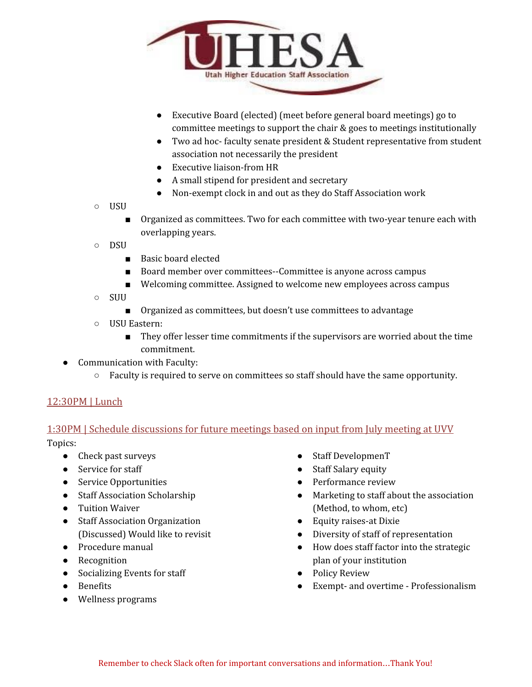

- Executive Board (elected) (meet before general board meetings) go to committee meetings to support the chair & goes to meetings institutionally
- Two ad hoc- faculty senate president & Student representative from student association not necessarily the president
- Executive liaison-from HR
- A small stipend for president and secretary
- Non-exempt clock in and out as they do Staff Association work
- USU
	- Organized as committees. Two for each committee with two-year tenure each with overlapping years.
- DSU
	- Basic board elected
	- Board member over committees--Committee is anyone across campus
	- Welcoming committee. Assigned to welcome new employees across campus
- SUU
	- Organized as committees, but doesn't use committees to advantage
- USU Eastern:
	- They offer lesser time commitments if the supervisors are worried about the time commitment.
- Communication with Faculty:
	- Faculty is required to serve on committees so staff should have the same opportunity.

# 12:30PM | Lunch

# 1:30PM | Schedule discussions for future meetings based on input from July meeting at UVV

Topics:

- Check past surveys
- Service for staff
- Service Opportunities
- Staff Association Scholarship
- Tuition Waiver
- Staff Association Organization (Discussed) Would like to revisit
- Procedure manual
- Recognition
- Socializing Events for staff
- Benefits
- Wellness programs
- Staff DevelopmenT
- **Staff Salary equity**
- Performance review
- Marketing to staff about the association (Method, to whom, etc)
- Equity raises-at Dixie
- Diversity of staff of representation
- How does staff factor into the strategic plan of your institution
- Policy Review
- Exempt- and overtime Professionalism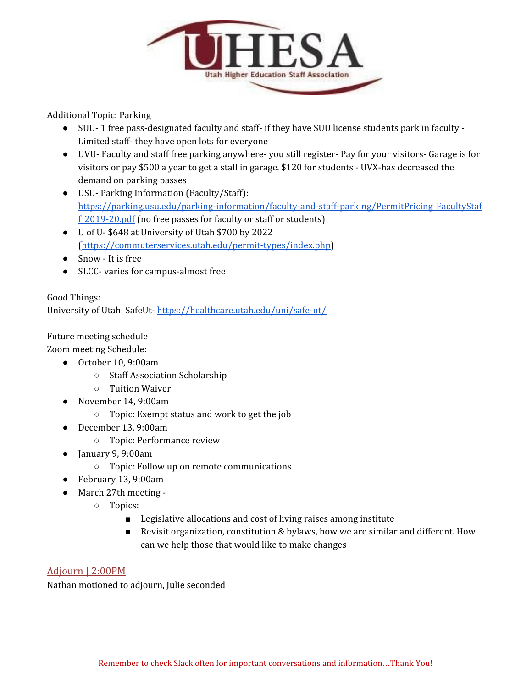

Additional Topic: Parking

- SUU- 1 free pass-designated faculty and staff- if they have SUU license students park in faculty Limited staff- they have open lots for everyone
- UVU- Faculty and staff free parking anywhere- you still register- Pay for your visitors- Garage is for visitors or pay \$500 a year to get a stall in garage. \$120 for students - UVX-has decreased the demand on parking passes
- USU- Parking Information (Faculty/Staff): [https://parking.usu.edu/parking-information/faculty-and-staff-parking/PermitPricing\\_FacultyStaf](https://parking.usu.edu/parking-information/faculty-and-staff-parking/PermitPricing_FacultyStaff_2019-20.pdf) [f\\_2019-20.pdf](https://parking.usu.edu/parking-information/faculty-and-staff-parking/PermitPricing_FacultyStaff_2019-20.pdf) (no free passes for faculty or staff or students)
- U of U- \$648 at University of Utah \$700 by 2022 [\(https://commuterservices.utah.edu/permit-types/index.php\)](https://commuterservices.utah.edu/permit-types/index.php)
- Snow It is free
- SLCC- varies for campus-almost free

# Good Things:

University of Utah: SafeUt- <https://healthcare.utah.edu/uni/safe-ut/>

#### Future meeting schedule

Zoom meeting Schedule:

- October 10, 9:00am
	- Staff Association Scholarship
	- Tuition Waiver
- November 14, 9:00am
	- Topic: Exempt status and work to get the job
- December 13, 9:00am
	- Topic: Performance review
- January 9, 9:00am
	- Topic: Follow up on remote communications
- February 13, 9:00am
- March 27th meeting
	- Topics:
		- Legislative allocations and cost of living raises among institute
		- Revisit organization, constitution & bylaws, how we are similar and different. How can we help those that would like to make changes

# Adjourn | 2:00PM

Nathan motioned to adjourn, Julie seconded